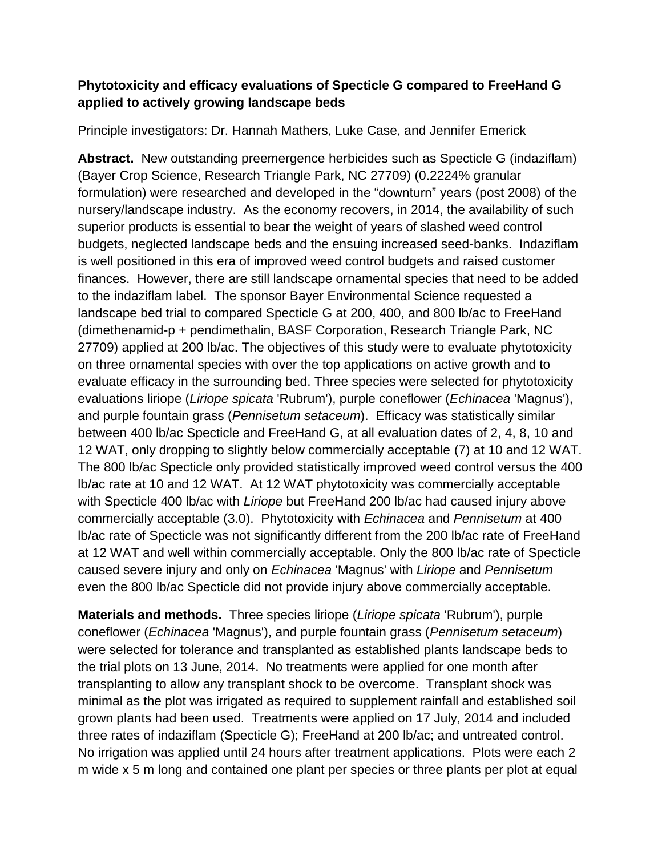## **Phytotoxicity and efficacy evaluations of Specticle G compared to FreeHand G applied to actively growing landscape beds**

Principle investigators: Dr. Hannah Mathers, Luke Case, and Jennifer Emerick

**Abstract.** New outstanding preemergence herbicides such as Specticle G (indaziflam) (Bayer Crop Science, Research Triangle Park, NC 27709) (0.2224% granular formulation) were researched and developed in the "downturn" years (post 2008) of the nursery/landscape industry. As the economy recovers, in 2014, the availability of such superior products is essential to bear the weight of years of slashed weed control budgets, neglected landscape beds and the ensuing increased seed-banks. Indaziflam is well positioned in this era of improved weed control budgets and raised customer finances. However, there are still landscape ornamental species that need to be added to the indaziflam label. The sponsor Bayer Environmental Science requested a landscape bed trial to compared Specticle G at 200, 400, and 800 lb/ac to FreeHand (dimethenamid-p + pendimethalin, BASF Corporation, Research Triangle Park, NC 27709) applied at 200 lb/ac. The objectives of this study were to evaluate phytotoxicity on three ornamental species with over the top applications on active growth and to evaluate efficacy in the surrounding bed. Three species were selected for phytotoxicity evaluations liriope (*Liriope spicata* 'Rubrum'), purple coneflower (*Echinacea* 'Magnus'), and purple fountain grass (*Pennisetum setaceum*). Efficacy was statistically similar between 400 lb/ac Specticle and FreeHand G, at all evaluation dates of 2, 4, 8, 10 and 12 WAT, only dropping to slightly below commercially acceptable (7) at 10 and 12 WAT. The 800 lb/ac Specticle only provided statistically improved weed control versus the 400 lb/ac rate at 10 and 12 WAT. At 12 WAT phytotoxicity was commercially acceptable with Specticle 400 lb/ac with *Liriope* but FreeHand 200 lb/ac had caused injury above commercially acceptable (3.0). Phytotoxicity with *Echinacea* and *Pennisetum* at 400 lb/ac rate of Specticle was not significantly different from the 200 lb/ac rate of FreeHand at 12 WAT and well within commercially acceptable. Only the 800 lb/ac rate of Specticle caused severe injury and only on *Echinacea* 'Magnus' with *Liriope* and *Pennisetum*  even the 800 lb/ac Specticle did not provide injury above commercially acceptable.

**Materials and methods.** Three species liriope (*Liriope spicata* 'Rubrum'), purple coneflower (*Echinacea* 'Magnus'), and purple fountain grass (*Pennisetum setaceum*) were selected for tolerance and transplanted as established plants landscape beds to the trial plots on 13 June, 2014. No treatments were applied for one month after transplanting to allow any transplant shock to be overcome. Transplant shock was minimal as the plot was irrigated as required to supplement rainfall and established soil grown plants had been used. Treatments were applied on 17 July, 2014 and included three rates of indaziflam (Specticle G); FreeHand at 200 lb/ac; and untreated control. No irrigation was applied until 24 hours after treatment applications. Plots were each 2 m wide x 5 m long and contained one plant per species or three plants per plot at equal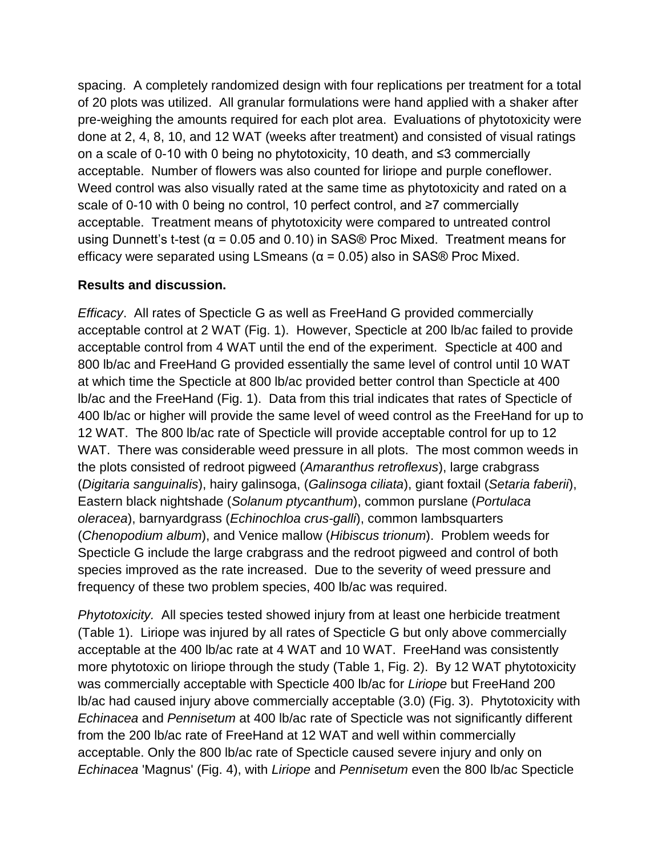spacing. A completely randomized design with four replications per treatment for a total of 20 plots was utilized. All granular formulations were hand applied with a shaker after pre-weighing the amounts required for each plot area. Evaluations of phytotoxicity were done at 2, 4, 8, 10, and 12 WAT (weeks after treatment) and consisted of visual ratings on a scale of 0-10 with 0 being no phytotoxicity, 10 death, and ≤3 commercially acceptable. Number of flowers was also counted for liriope and purple coneflower. Weed control was also visually rated at the same time as phytotoxicity and rated on a scale of 0-10 with 0 being no control, 10 perfect control, and ≥7 commercially acceptable. Treatment means of phytotoxicity were compared to untreated control using Dunnett's t-test ( $\alpha$  = 0.05 and 0.10) in SAS® Proc Mixed. Treatment means for efficacy were separated using LSmeans ( $\alpha$  = 0.05) also in SAS® Proc Mixed.

## **Results and discussion.**

*Efficacy*. All rates of Specticle G as well as FreeHand G provided commercially acceptable control at 2 WAT (Fig. 1). However, Specticle at 200 lb/ac failed to provide acceptable control from 4 WAT until the end of the experiment. Specticle at 400 and 800 lb/ac and FreeHand G provided essentially the same level of control until 10 WAT at which time the Specticle at 800 lb/ac provided better control than Specticle at 400 lb/ac and the FreeHand (Fig. 1). Data from this trial indicates that rates of Specticle of 400 lb/ac or higher will provide the same level of weed control as the FreeHand for up to 12 WAT. The 800 lb/ac rate of Specticle will provide acceptable control for up to 12 WAT. There was considerable weed pressure in all plots. The most common weeds in the plots consisted of redroot pigweed (*Amaranthus retroflexus*), large crabgrass (*Digitaria sanguinalis*), hairy galinsoga, (*Galinsoga ciliata*), giant foxtail (*Setaria faberii*), Eastern black nightshade (*Solanum ptycanthum*), common purslane (*Portulaca oleracea*), barnyardgrass (*Echinochloa crus-galli*), common lambsquarters (*Chenopodium album*), and Venice mallow (*Hibiscus trionum*). Problem weeds for Specticle G include the large crabgrass and the redroot pigweed and control of both species improved as the rate increased. Due to the severity of weed pressure and frequency of these two problem species, 400 lb/ac was required.

*Phytotoxicity.* All species tested showed injury from at least one herbicide treatment (Table 1). Liriope was injured by all rates of Specticle G but only above commercially acceptable at the 400 lb/ac rate at 4 WAT and 10 WAT. FreeHand was consistently more phytotoxic on liriope through the study (Table 1, Fig. 2). By 12 WAT phytotoxicity was commercially acceptable with Specticle 400 lb/ac for *Liriope* but FreeHand 200 lb/ac had caused injury above commercially acceptable (3.0) (Fig. 3). Phytotoxicity with *Echinacea* and *Pennisetum* at 400 lb/ac rate of Specticle was not significantly different from the 200 lb/ac rate of FreeHand at 12 WAT and well within commercially acceptable. Only the 800 lb/ac rate of Specticle caused severe injury and only on *Echinacea* 'Magnus' (Fig. 4), with *Liriope* and *Pennisetum* even the 800 lb/ac Specticle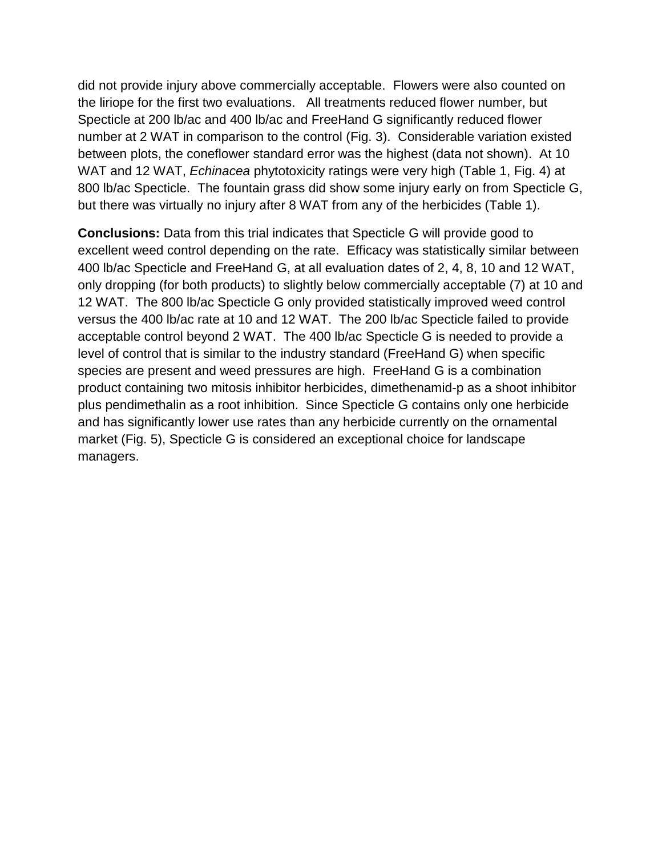did not provide injury above commercially acceptable. Flowers were also counted on the liriope for the first two evaluations. All treatments reduced flower number, but Specticle at 200 lb/ac and 400 lb/ac and FreeHand G significantly reduced flower number at 2 WAT in comparison to the control (Fig. 3). Considerable variation existed between plots, the coneflower standard error was the highest (data not shown). At 10 WAT and 12 WAT, *Echinacea* phytotoxicity ratings were very high (Table 1, Fig. 4) at 800 lb/ac Specticle. The fountain grass did show some injury early on from Specticle G, but there was virtually no injury after 8 WAT from any of the herbicides (Table 1).

**Conclusions:** Data from this trial indicates that Specticle G will provide good to excellent weed control depending on the rate. Efficacy was statistically similar between 400 lb/ac Specticle and FreeHand G, at all evaluation dates of 2, 4, 8, 10 and 12 WAT, only dropping (for both products) to slightly below commercially acceptable (7) at 10 and 12 WAT. The 800 lb/ac Specticle G only provided statistically improved weed control versus the 400 lb/ac rate at 10 and 12 WAT. The 200 lb/ac Specticle failed to provide acceptable control beyond 2 WAT. The 400 lb/ac Specticle G is needed to provide a level of control that is similar to the industry standard (FreeHand G) when specific species are present and weed pressures are high. FreeHand G is a combination product containing two mitosis inhibitor herbicides, dimethenamid-p as a shoot inhibitor plus pendimethalin as a root inhibition. Since Specticle G contains only one herbicide and has significantly lower use rates than any herbicide currently on the ornamental market (Fig. 5), Specticle G is considered an exceptional choice for landscape managers.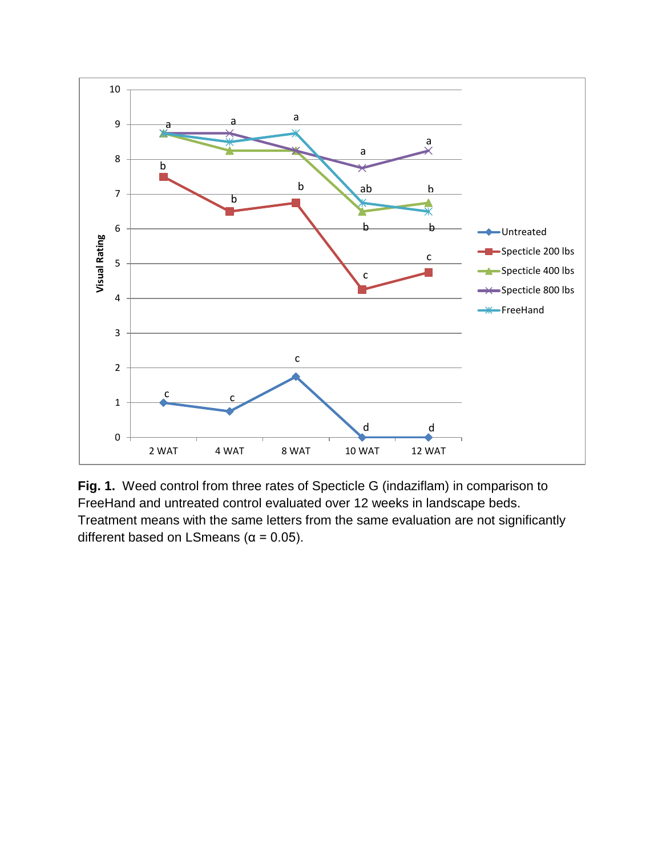

**Fig. 1.** Weed control from three rates of Specticle G (indaziflam) in comparison to FreeHand and untreated control evaluated over 12 weeks in landscape beds. Treatment means with the same letters from the same evaluation are not significantly different based on LSmeans ( $\alpha$  = 0.05).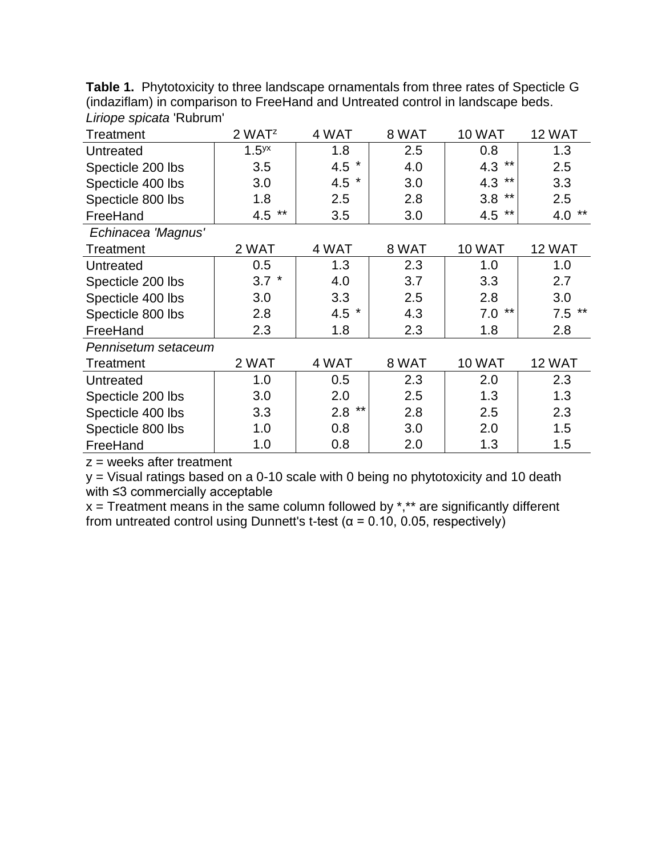| $1119$ p v oproata  |                    |          |       |               |               |  |  |  |  |
|---------------------|--------------------|----------|-------|---------------|---------------|--|--|--|--|
| Treatment           | 2 WAT <sup>z</sup> | 4 WAT    | 8 WAT | <b>10 WAT</b> | 12 WAT        |  |  |  |  |
| Untreated           | 1.5 <sup>yx</sup>  | 1.8      | 2.5   | 0.8           | 1.3           |  |  |  |  |
| Specticle 200 lbs   | 3.5                | 4.5 $*$  | 4.0   | $***$<br>4.3  | 2.5           |  |  |  |  |
| Specticle 400 lbs   | 3.0                | 4.5 $*$  | 3.0   | 4.3<br>$***$  | 3.3           |  |  |  |  |
| Specticle 800 lbs   | 1.8                | 2.5      | 2.8   | 3.8<br>**     | 2.5           |  |  |  |  |
| FreeHand            | $***$<br>4.5       | 3.5      | 3.0   | $***$<br>4.5  | $***$<br>4.0  |  |  |  |  |
| Echinacea 'Magnus'  |                    |          |       |               |               |  |  |  |  |
| Treatment           | 2 WAT              | 4 WAT    | 8 WAT | <b>10 WAT</b> | 12 WAT        |  |  |  |  |
| Untreated           | 0.5                | 1.3      | 2.3   | 1.0           | 1.0           |  |  |  |  |
| Specticle 200 lbs   | $3.7$ *            | 4.0      | 3.7   | 3.3           | 2.7           |  |  |  |  |
| Specticle 400 lbs   | 3.0                | 3.3      | 2.5   | 2.8           | 3.0           |  |  |  |  |
| Specticle 800 lbs   | 2.8                | 4.5 $*$  | 4.3   | **<br>7.0     | $7.5$ **      |  |  |  |  |
| FreeHand            | 2.3                | 1.8      | 2.3   | 1.8           | 2.8           |  |  |  |  |
| Pennisetum setaceum |                    |          |       |               |               |  |  |  |  |
| Treatment           | 2 WAT              | 4 WAT    | 8 WAT | <b>10 WAT</b> | <b>12 WAT</b> |  |  |  |  |
| Untreated           | 1.0                | 0.5      | 2.3   | 2.0           | 2.3           |  |  |  |  |
| Specticle 200 lbs   | 3.0                | 2.0      | 2.5   | 1.3           | 1.3           |  |  |  |  |
| Specticle 400 lbs   | 3.3                | $2.8$ ** | 2.8   | 2.5           | 2.3           |  |  |  |  |
| Specticle 800 lbs   | 1.0                | 0.8      | 3.0   | 2.0           | 1.5           |  |  |  |  |
| FreeHand            | 1.0                | 0.8      | 2.0   | 1.3           | 1.5           |  |  |  |  |

**Table 1.** Phytotoxicity to three landscape ornamentals from three rates of Specticle G (indaziflam) in comparison to FreeHand and Untreated control in landscape beds. *Liriope spicata* 'Rubrum'

 $z =$  weeks after treatment

y = Visual ratings based on a 0-10 scale with 0 being no phytotoxicity and 10 death with ≤3 commercially acceptable

x = Treatment means in the same column followed by \*,\*\* are significantly different from untreated control using Dunnett's t-test (α = 0.10, 0.05, respectively)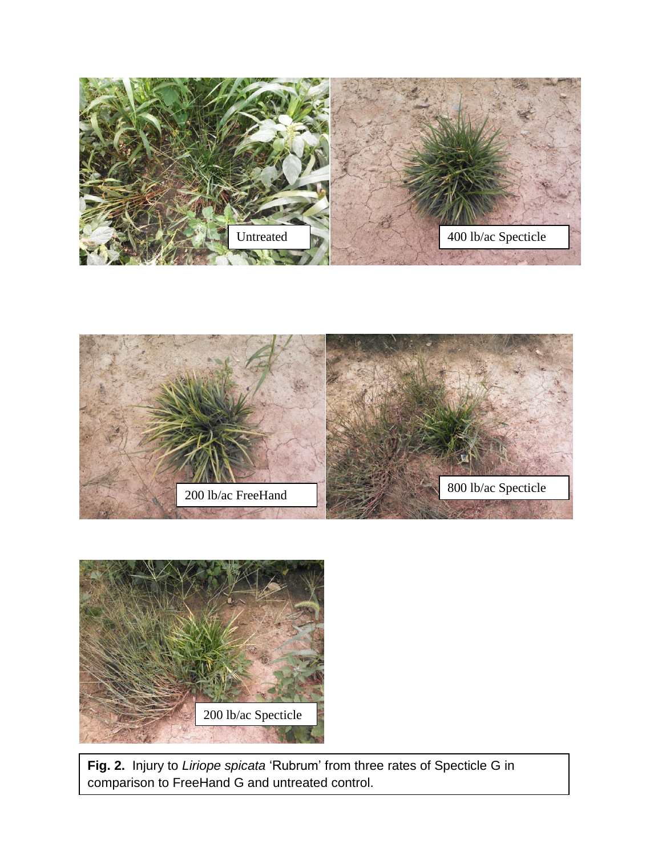





**Fig. 2.** Injury to *Liriope spicata* 'Rubrum' from three rates of Specticle G in comparison to FreeHand G and untreated control.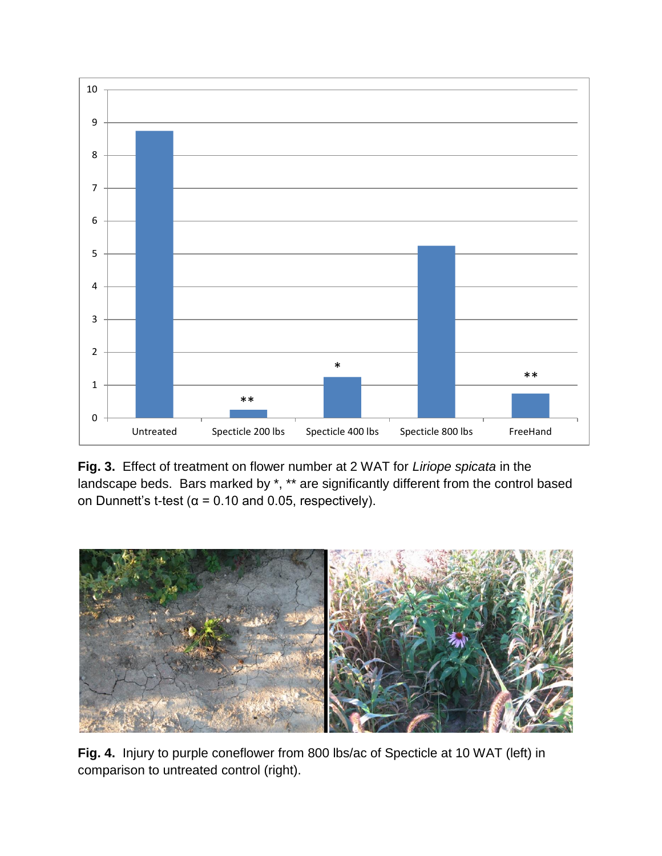

**Fig. 3.** Effect of treatment on flower number at 2 WAT for *Liriope spicata* in the landscape beds. Bars marked by \*, \*\* are significantly different from the control based on Dunnett's t-test ( $\alpha$  = 0.10 and 0.05, respectively).



**Fig. 4.** Injury to purple coneflower from 800 lbs/ac of Specticle at 10 WAT (left) in comparison to untreated control (right).